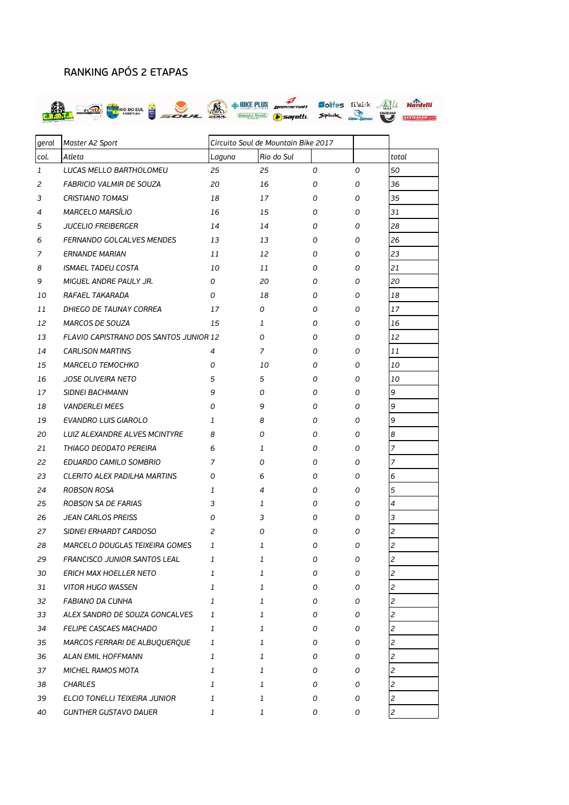## RANKING APÓS 2 ETAPAS



| geral        | Master A2 Sport                               | Circuito Soul de Mountain Bike 2017 |            |   |   |                |
|--------------|-----------------------------------------------|-------------------------------------|------------|---|---|----------------|
| col.         | Atleta                                        | Laguna                              | Rio do Sul |   |   | total          |
| $\mathbf{1}$ | LUCAS MELLO BARTHOLOMEU                       | 25                                  | 25         | 0 | 0 | 50             |
| 2            | FABRICIO VALMIR DE SOUZA                      | 20                                  | 16         | 0 | 0 | 36             |
| 3            | CRISTIANO TOMASI                              | 18                                  | 17         | 0 | 0 | 35             |
| 4            | MARCELO MARSÍLIO                              | 16                                  | 15         | 0 | 0 | 31             |
| 5            | <b>JUCELIO FREIBERGER</b>                     | 14                                  | 14         | 0 | 0 | 28             |
| 6            | FERNANDO GOLCALVES MENDES                     | 13                                  | 13         | 0 | 0 | 26             |
| 7            | <b>ERNANDE MARIAN</b>                         | 11                                  | 12         | 0 | 0 | 23             |
| 8            | ISMAEL TADEU COSTA                            | 10                                  | 11         | 0 | 0 | 21             |
| 9            | MIGUEL ANDRE PAULY JR.                        | 0                                   | 20         | 0 | 0 | 20             |
| 10           | RAFAEL TAKARADA                               | 0                                   | 18         | 0 | 0 | 18             |
| 11           | DHIEGO DE TAUNAY CORREA                       | 17                                  | 0          | 0 | 0 | 17             |
| 12           | MARCOS DE SOUZA                               | 15                                  | 1          | 0 | 0 | 16             |
| 13           | <b>FLAVIO CAPISTRANO DOS SANTOS JUNIOR 12</b> |                                     | 0          | 0 | 0 | 12             |
| 14           | <b>CARLISON MARTINS</b>                       | 4                                   | 7          | 0 | 0 | 11             |
| 15           | MARCELO TEMOCHKO                              | 0                                   | 10         | 0 | 0 | 10             |
| 16           | JOSE OLIVEIRA NETO                            | 5                                   | 5          | 0 | 0 | 10             |
| 17           | <b>SIDNEI BACHMANN</b>                        | 9                                   | 0          | 0 | 0 | 9              |
| 18           | <b>VANDERLEI MEES</b>                         | 0                                   | 9          | 0 | 0 | 9              |
| 19           | EVANDRO LUIS GIAROLO                          | 1                                   | 8          | 0 | 0 | 9              |
| 20           | LUIZ ALEXANDRE ALVES MCINTYRE                 | 8                                   | 0          | 0 | 0 | 8              |
| 21           | THIAGO DEODATO PEREIRA                        | 6                                   | 1          | 0 | 0 | 7              |
| 22           | EDUARDO CAMILO SOMBRIO                        | 7                                   | 0          | 0 | 0 | 7              |
| 23           | <b>CLERITO ALEX PADILHA MARTINS</b>           | 0                                   | 6          | 0 | 0 | 6              |
| 24           | ROBSON ROSA                                   | 1                                   | 4          | 0 | 0 | 5              |
| 25           | ROBSON SA DE FARIAS                           | 3                                   | 1          | 0 | 0 | 4              |
| 26           | <b>JEAN CARLOS PREISS</b>                     | 0                                   | 3          | 0 | 0 | 3              |
| 27           | SIDNEI ERHARDT CARDOSO                        | 2                                   | 0          | 0 | 0 | 2              |
| 28           | MARCELO DOUGLAS TEIXEIRA GOMES                | 1                                   | 1          | 0 | 0 | 2              |
| 29           | FRANCISCO JUNIOR SANTOS LEAL                  | 7                                   | 1          | O | 0 | $\overline{z}$ |
| 30           | <b>ERICH MAX HOELLER NETO</b>                 | 1                                   | 1          | 0 | 0 | 2              |
| 31           | <b>VITOR HUGO WASSEN</b>                      | 1                                   | 1          | 0 | 0 | 2              |
| 32           | FABIANO DA CUNHA                              | 1                                   | 1          | 0 | 0 | 2              |
| 33           | ALEX SANDRO DE SOUZA GONCALVES                | 1                                   | 1          | 0 | 0 | 2              |
| 34           | FELIPE CASCAES MACHADO                        | 1                                   | 1          | 0 | 0 | 2              |
| 35           | MARCOS FERRARI DE ALBUQUERQUE                 | 1                                   | 1          | 0 | 0 | 2              |
| 36           | ALAN EMIL HOFFMANN                            | 1                                   | 1          | 0 | 0 | 2              |
| 37           | MICHEL RAMOS MOTA                             | 1                                   | 1          | 0 | 0 | $\overline{c}$ |
| 38           | <b>CHARLES</b>                                | 1                                   | 1          | 0 | 0 | 2              |
| 39           | ELCIO TONELLI TEIXEIRA JUNIOR                 | 1                                   | 1          | 0 | 0 | 2              |
| 40           | <b>GUNTHER GUSTAVO DAUER</b>                  | 1                                   | 1          | 0 | 0 | $\overline{c}$ |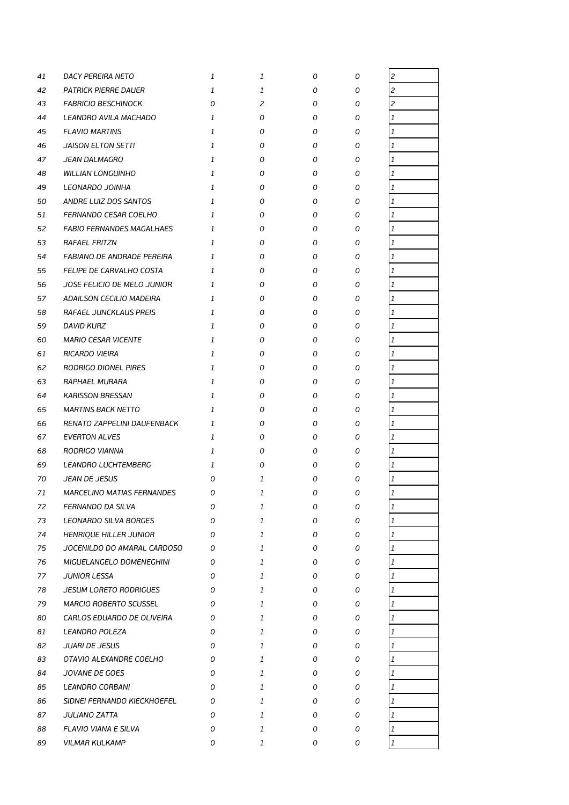| 41 | DACY PEREIRA NETO                 | 1            | 1            | 0 | 0 | $\overline{c}$                                        |
|----|-----------------------------------|--------------|--------------|---|---|-------------------------------------------------------|
| 42 | <b>PATRICK PIERRE DAUER</b>       | 1            | 1            | 0 | 0 | $\overline{c}$                                        |
| 43 | <b>FABRICIO BESCHINOCK</b>        | 0            | 2            | 0 | 0 | $\overline{c}$                                        |
| 44 | LEANDRO AVILA MACHADO             | 1            | 0            | 0 | 0 | 1                                                     |
| 45 | <b>FLAVIO MARTINS</b>             | 1            | 0            | 0 | 0 | $\mathbf{1}% _{T}=\mathbf{1}_{T}\times\mathbf{1}_{T}$ |
| 46 | <b>JAISON ELTON SETTI</b>         | 1            | 0            | 0 | 0 | 1                                                     |
| 47 | JEAN DALMAGRO                     | 1            | 0            | 0 | 0 | $\overline{1}$                                        |
| 48 | <b>WILLIAN LONGUINHO</b>          | 1            | 0            | 0 | 0 | $\mathbf{1}$                                          |
| 49 | LEONARDO JOINHA                   | $\mathbf{1}$ | 0            | 0 | 0 | 1                                                     |
| 50 | ANDRE LUIZ DOS SANTOS             | 1            | 0            | 0 | 0 | 1                                                     |
| 51 | FERNANDO CESAR COELHO             | 1            | 0            | 0 | 0 | $\mathbf{1}$                                          |
| 52 | <b>FABIO FERNANDES MAGALHAES</b>  | 1            | 0            | 0 | 0 | 1                                                     |
| 53 | <b>RAFAEL FRITZN</b>              | 1            | 0            | 0 | 0 | $\mathbf{1}$                                          |
| 54 | FABIANO DE ANDRADE PEREIRA        | 1            | 0            | 0 | 0 | $\mathbf{1}$                                          |
| 55 | FELIPE DE CARVALHO COSTA          | 1            | 0            | 0 | 0 | 1                                                     |
| 56 | JOSE FELICIO DE MELO JUNIOR       | 1            | 0            | 0 | 0 | 1                                                     |
| 57 | ADAILSON CECILIO MADEIRA          | 1            | 0            | 0 | 0 | 1                                                     |
| 58 | RAFAEL JUNCKLAUS PREIS            | 1            | 0            | 0 | 0 | 1                                                     |
| 59 | <b>DAVID KURZ</b>                 | 1            | 0            | 0 | 0 | $\overline{1}$                                        |
| 60 | <b>MARIO CESAR VICENTE</b>        | 1            | 0            | 0 | 0 | 1                                                     |
| 61 | RICARDO VIEIRA                    | 1            | 0            | 0 | 0 | $\mathbf{1}$                                          |
| 62 | RODRIGO DIONEL PIRES              | 1            | 0            | 0 | 0 | 1                                                     |
| 63 | RAPHAEL MURARA                    | 1            | 0            | 0 | 0 | $\mathbf{1}$                                          |
| 64 | <b>KARISSON BRESSAN</b>           | 1            | 0            | 0 | 0 | 1                                                     |
| 65 | <b>MARTINS BACK NETTO</b>         | 1            | 0            | 0 | 0 | $\mathbf{1}$                                          |
| 66 | RENATO ZAPPELINI DAUFENBACK       | 1            | 0            | 0 | 0 | $\mathbf{1}$                                          |
| 67 | <b>EVERTON ALVES</b>              | 1            | Ο            | 0 | 0 | $\mathbf{1}$                                          |
| 68 | RODRIGO VIANNA                    | 1            | 0            | 0 | 0 | 1                                                     |
| 69 | LEANDRO LUCHTEMBERG               | 1            | 0            | 0 | 0 | 1                                                     |
| 70 | JEAN DE JESUS                     | 0            | 1            | 0 | 0 | 1                                                     |
| 71 | <i>MARCELINO MATIAS FERNANDES</i> | 0            | 1            | 0 | 0 | $\overline{1}$                                        |
| 72 | FERNANDO DA SILVA                 | 0            | 1            | 0 | 0 | $\mathbf{1}$                                          |
| 73 | LEONARDO SILVA BORGES             | 0            | $\mathbf{1}$ | 0 | 0 | $\mathbf{1}$                                          |
| 74 | HENRIQUE HILLER JUNIOR            | 0            | 1            | 0 | 0 | 1                                                     |
| 75 | JOCENILDO DO AMARAL CARDOSO       | 0            | $\mathbf{1}$ | 0 | 0 | 1                                                     |
| 76 | MIGUELANGELO DOMENEGHINI          | 0            | 1            | 0 | 0 | $\mathbf{1}$                                          |
| 77 | JUNIOR LESSA                      | 0            | $\mathbf{1}$ | 0 | 0 | 1                                                     |
| 78 | <b>JESUM LORETO RODRIGUES</b>     | 0            | 1            | 0 | 0 | $\mathbf{1}$                                          |
| 79 | MARCIO ROBERTO SCUSSEL            | 0            | 1            | 0 | 0 | $\mathbf{1}$                                          |
| 80 | CARLOS EDUARDO DE OLIVEIRA        | 0            | $\mathbf{1}$ | 0 | 0 | 1                                                     |
| 81 | LEANDRO POLEZA                    | 0            | 1            | 0 | 0 | 1                                                     |
| 82 | <b>JUARI DE JESUS</b>             | 0            | 1            | 0 | 0 | 1                                                     |
| 83 | OTAVIO ALEXANDRE COELHO           | 0            | $\mathbf{1}$ | 0 | 0 | 1                                                     |
| 84 | JOVANE DE GOES                    | 0            | $\mathbf{1}$ | 0 | 0 | $\mathbf{1}$                                          |
| 85 | LEANDRO CORBANI                   | 0            | 1            | 0 | 0 | $\mathbf{1}$                                          |
| 86 | SIDNEI FERNANDO KIECKHOEFEL       | 0            | 1            | 0 | 0 | 1                                                     |
| 87 | JULIANO ZATTA                     | 0            | $\mathbf{1}$ | 0 | 0 | 1                                                     |
| 88 | <b>FLAVIO VIANA E SILVA</b>       | 0            | 1            | 0 | 0 | 1                                                     |
| 89 | <b>VILMAR KULKAMP</b>             | 0            | 1            | 0 | 0 | 1                                                     |